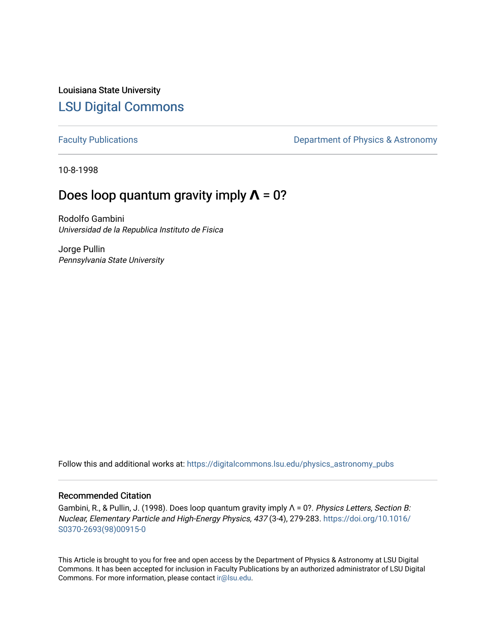Louisiana State University [LSU Digital Commons](https://digitalcommons.lsu.edu/)

[Faculty Publications](https://digitalcommons.lsu.edu/physics_astronomy_pubs) **Exercise 2** Constant Department of Physics & Astronomy

10-8-1998

## Does loop quantum gravity imply **Λ** = 0?

Rodolfo Gambini Universidad de la Republica Instituto de Fisica

Jorge Pullin Pennsylvania State University

Follow this and additional works at: [https://digitalcommons.lsu.edu/physics\\_astronomy\\_pubs](https://digitalcommons.lsu.edu/physics_astronomy_pubs?utm_source=digitalcommons.lsu.edu%2Fphysics_astronomy_pubs%2F4424&utm_medium=PDF&utm_campaign=PDFCoverPages) 

## Recommended Citation

Gambini, R., & Pullin, J. (1998). Does loop quantum gravity imply Λ = 0?. Physics Letters, Section B: Nuclear, Elementary Particle and High-Energy Physics, 437 (3-4), 279-283. [https://doi.org/10.1016/](https://doi.org/10.1016/S0370-2693(98)00915-0) [S0370-2693\(98\)00915-0](https://doi.org/10.1016/S0370-2693(98)00915-0)

This Article is brought to you for free and open access by the Department of Physics & Astronomy at LSU Digital Commons. It has been accepted for inclusion in Faculty Publications by an authorized administrator of LSU Digital Commons. For more information, please contact [ir@lsu.edu](mailto:ir@lsu.edu).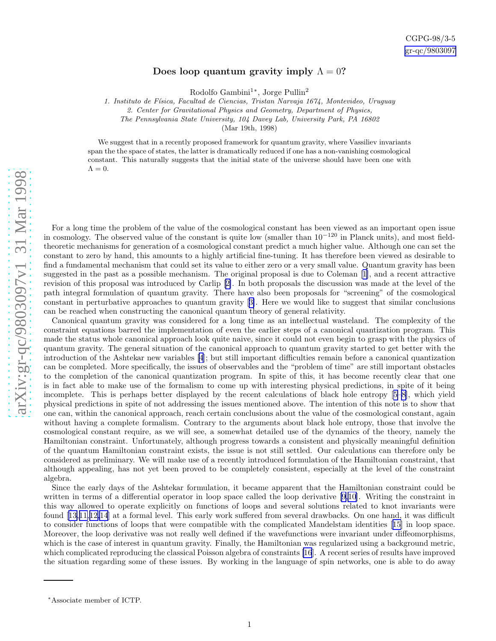## Does loop quantum gravity imply  $\Lambda = 0$ ?

Rodolfo Gambini<sup>1</sup>\*, Jorge Pullin<sup>2</sup>

1. Instituto de Física, Facultad de Ciencias, Tristan Narvaja 1674, Montevideo, Uruguay

2. Center for Gravitational Physics and Geometry, Department of Physics,

The Pennsylvania State University, 104 Davey Lab, University Park, PA 16802

(Mar 19th, 1998)

We suggest that in a recently proposed framework for quantum gravity, where Vassiliev invariants span the the space of states, the latter is dramatically reduced if one has a non-vanishing cosmological constant. This naturally suggests that the initial state of the universe should have been one with  $\Lambda = 0.$ 

For a long time the problem of the value of the cosmological constant has been viewed as an important open issue in cosmology. The observed value of the constant is quite low (smaller than  $10^{-120}$  in Planck units), and most fieldtheoretic mechanisms for generation of a cosmological constant predict a much higher value. Although one can set the constant to zero by hand, this amounts to a highly artificial fine-tuning. It has therefore been viewed as desirable to find a fundamental mechanism that could set its value to either zero or a very small value. Quantum gravity has been suggested in the past as a possible mechanism. The original proposal is due to Coleman[[1\]](#page-4-0), and a recent attractive revision of this proposal was introduced by Carlip[[2\]](#page-4-0). In both proposals the discussion was made at the level of the path integral formulation of quantum gravity. There have also been proposals for "screening" of the cosmological constant in perturbative approaches to quantum gravity[[3\]](#page-4-0). Here we would like to suggest that similar conclusions can be reached when constructing the canonical quantum theory of general relativity.

Canonical quantum gravity was considered for a long time as an intellectual wasteland. The complexity of the constraint equations barred the implementation of even the earlier steps of a canonical quantization program. This made the status whole canonical approach look quite naive, since it could not even begin to grasp with the physics of quantum gravity. The general situation of the canonical approach to quantum gravity started to get better with the introduction of the Ashtekar new variables [\[4](#page-4-0)]; but still important difficulties remain before a canonical quantization can be completed. More specifically, the issues of observables and the "problem of time" are still important obstacles to the completion of the canonical quantization program. In spite of this, it has become recently clear that one is in fact able to make use of the formalism to come up with interesting physical predictions, in spite of it being incomplete. This is perhaps better displayed by the recent calculations of black hole entropy[[5–8\]](#page-4-0), which yield physical predictions in spite of not addressing the issues mentioned above. The intention of this note is to show that one can, within the canonical approach, reach certain conclusions about the value of the cosmological constant, again without having a complete formalism. Contrary to the arguments about black hole entropy, those that involve the cosmological constant require, as we will see, a somewhat detailed use of the dynamics of the theory, namely the Hamiltonian constraint. Unfortunately, although progress towards a consistent and physically meaningful definition of the quantum Hamiltonian constraint exists, the issue is not still settled. Our calculations can therefore only be considered as preliminary. We will make use of a recently introduced formulation of the Hamiltonian constraint, that although appealing, has not yet been proved to be completely consistent, especially at the level of the constraint algebra.

Since the early days of the Ashtekar formulation, it became apparent that the Hamiltonian constraint could be written in terms of a differential operator in loop space called the loop derivative [\[9](#page-4-0),[10\]](#page-4-0). Writing the constraint in this way allowed to operate explicitly on functions of loops and several solutions related to knot invariants were found[[13,11,12,14](#page-4-0)] at a formal level. This early work suffered from several drawbacks. On one hand, it was difficult to consider functions of loops that were compatible with the complicated Mandelstam identities[[15\]](#page-4-0) in loop space. Moreover, the loop derivative was not really well defined if the wavefunctions were invariant under diffeomorphisms, which is the case of interest in quantum gravity. Finally, the Hamiltonian was regularized using a background metric, which complicated reproducing the classical Poisson algebra of constraints [\[16](#page-4-0)]. A recent series of results have improved the situation regarding some of these issues. By working in the language of spin networks, one is able to do away

<sup>∗</sup>Associate member of ICTP.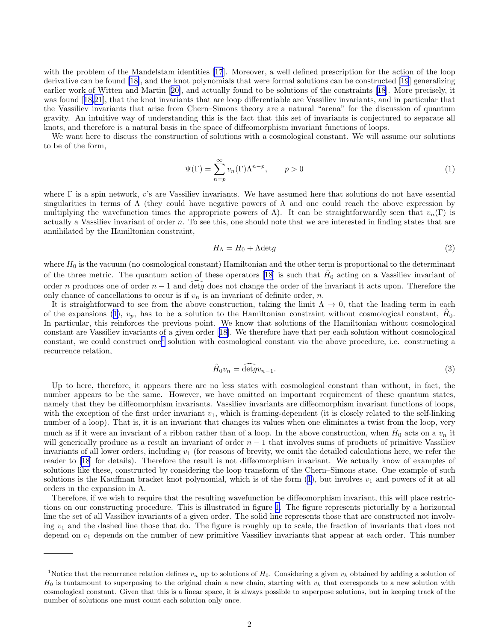<span id="page-2-0"></span>with the problem of the Mandelstam identities [\[17](#page-4-0)]. Moreover, a well defined prescription for the action of the loop derivative can be found [\[18\]](#page-4-0), and the knot polynomials that were formal solutions can be constructed[[19](#page-4-0)] generalizing earlier work of Witten and Martin[[20](#page-4-0)], and actually found to be solutions of the constraints [\[18](#page-4-0)]. More precisely, it was found[[18,21\]](#page-4-0), that the knot invariants that are loop differentiable are Vassiliev invariants, and in particular that the Vassiliev invariants that arise from Chern–Simons theory are a natural "arena" for the discussion of quantum gravity. An intuitive way of understanding this is the fact that this set of invariants is conjectured to separate all knots, and therefore is a natural basis in the space of diffeomorphism invariant functions of loops.

We want here to discuss the construction of solutions with a cosmological constant. We will assume our solutions to be of the form,

$$
\Psi(\Gamma) = \sum_{n=p}^{\infty} v_n(\Gamma) \Lambda^{n-p}, \qquad p > 0
$$
\n(1)

where Γ is a spin network, v's are Vassiliev invariants. We have assumed here that solutions do not have essential singularities in terms of  $\Lambda$  (they could have negative powers of  $\Lambda$  and one could reach the above expression by multiplying the wavefunction times the appropriate powers of  $\Lambda$ ). It can be straightforwardly seen that  $v_n(\Gamma)$  is actually a Vassiliev invariant of order  $n$ . To see this, one should note that we are interested in finding states that are annihilated by the Hamiltonian constraint,

$$
H_{\Lambda} = H_0 + \Lambda \text{det}g \tag{2}
$$

where  $H_0$  is the vacuum (no cosmological constant) Hamiltonian and the other term is proportional to the determinant ofthe three metric. The quantum action of these operators [[18\]](#page-4-0) is such that  $\hat{H}_0$  acting on a Vassiliev invariant of order n produces one of order  $n-1$  and  $\det g$  does not change the order of the invariant it acts upon. Therefore the only chance of cancellations to occur is if  $v_n$  is an invariant of definite order, n.

It is straightforward to see from the above construction, taking the limit  $\Lambda \to 0$ , that the leading term in each of the expansions (1),  $v_p$ , has to be a solution to the Hamiltonian constraint without cosmological constant,  $\hat{H}_0$ . In particular, this reinforces the previous point. We know that solutions of the Hamiltonian without cosmological constant are Vassiliev invariants of a given order[[18\]](#page-4-0). We therefore have that per each solution without cosmological constant, we could construct one<sup>1</sup> solution with cosmological constant via the above procedure, i.e. constructing a recurrence relation,

$$
\hat{H}_0 v_n = \widehat{\det} g v_{n-1}.\tag{3}
$$

Up to here, therefore, it appears there are no less states with cosmological constant than without, in fact, the number appears to be the same. However, we have omitted an important requirement of these quantum states, namely that they be diffeomorphism invariants. Vassiliev invariants are diffeomorphism invariant functions of loops, with the exception of the first order invariant  $v_1$ , which is framing-dependent (it is closely related to the self-linking number of a loop). That is, it is an invariant that changes its values when one eliminates a twist from the loop, very much as if it were an invariant of a ribbon rather than of a loop. In the above construction, when  $\hat{H}_0$  acts on a  $v_n$  it will generically produce as a result an invariant of order  $n-1$  that involves sums of products of primitive Vassiliev invariants of all lower orders, including  $v_1$  (for reasons of brevity, we omit the detailed calculations here, we refer the reader to[[18](#page-4-0)] for details). Therefore the result is not diffeomorphism invariant. We actually know of examples of solutions like these, constructed by considering the loop transform of the Chern–Simons state. One example of such solutions is the Kauffman bracket knot polynomial, which is of the form  $(1)$ , but involves  $v_1$  and powers of it at all orders in the expansion in Λ.

Therefore, if we wish to require that the resulting wavefunction be diffeomorphism invariant, this will place restrictions on our constructing procedure. This is illustrated in figure [1.](#page-3-0) The figure represents pictorially by a horizontal line the set of all Vassiliev invariants of a given order. The solid line represents those that are constructed not involving  $v_1$  and the dashed line those that do. The figure is roughly up to scale, the fraction of invariants that does not depend on  $v_1$  depends on the number of new primitive Vassiliev invariants that appear at each order. This number

<sup>&</sup>lt;sup>1</sup>Notice that the recurrence relation defines  $v_n$  up to solutions of  $H_0$ . Considering a given  $v_k$  obtained by adding a solution of  $H_0$  is tantamount to superposing to the original chain a new chain, starting with  $v_k$  that corresponds to a new solution with cosmological constant. Given that this is a linear space, it is always possible to superpose solutions, but in keeping track of the number of solutions one must count each solution only once.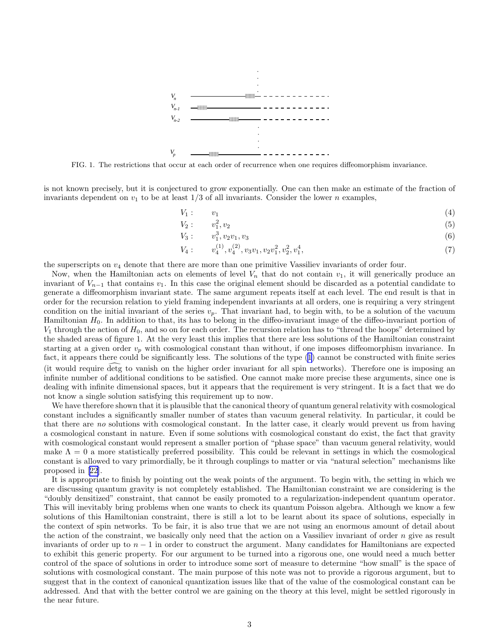<span id="page-3-0"></span>

FIG. 1. The restrictions that occur at each order of recurrence when one requires diffeomorphism invariance.

is not known precisely, but it is conjectured to grow exponentially. One can then make an estimate of the fraction of invariants dependent on  $v_1$  to be at least  $1/3$  of all invariants. Consider the lower n examples,

$$
V_1: \t v_1 \t (4)
$$

$$
V_2: \t v_1^2, v_2 \t (5)
$$

$$
V_3: \t v_1^3, v_2v_1, v_3 \t\t(6)
$$

$$
V_4: \t v_4^{(1)}, v_4^{(2)}, v_3v_1, v_2v_1^2, v_2^2, v_1^4,
$$
\t(7)

the superscripts on  $v_4$  denote that there are more than one primitive Vassiliev invariants of order four.

Now, when the Hamiltonian acts on elements of level  $V_n$  that do not contain  $v_1$ , it will generically produce an invariant of  $V_{n-1}$  that contains  $v_1$ . In this case the original element should be discarded as a potential candidate to generate a diffeomorphism invariant state. The same argument repeats itself at each level. The end result is that in order for the recursion relation to yield framing independent invariants at all orders, one is requiring a very stringent condition on the initial invariant of the series  $v_p$ . That invariant had, to begin with, to be a solution of the vacuum Hamiltonian  $H_0$ . In addition to that, its has to belong in the diffeo-invariant image of the diffeo-invariant portion of  $V_1$  through the action of  $H_0$ , and so on for each order. The recursion relation has to "thread the hoops" determined by the shaded areas of figure 1. At the very least this implies that there are less solutions of the Hamiltonian constraint starting at a given order  $v_p$  with cosmological constant than without, if one imposes diffeomorphism invariance. In fact, it appears there could be significantly less. The solutions of the type [\(1](#page-2-0)) cannot be constructed with finite series (it would require detg to vanish on the higher order invariant for all spin networks). Therefore one is imposing an infinite number of additional conditions to be satisfied. One cannot make more precise these arguments, since one is dealing with infinite dimensional spaces, but it appears that the requirement is very stringent. It is a fact that we do not know a single solution satisfying this requirement up to now.

We have therefore shown that it is plausible that the canonical theory of quantum general relativity with cosmological constant includes a significantly smaller number of states than vacuum general relativity. In particular, it could be that there are no solutions with cosmological constant. In the latter case, it clearly would prevent us from having a cosmological constant in nature. Even if some solutions with cosmological constant do exist, the fact that gravity with cosmological constant would represent a smaller portion of "phase space" than vacuum general relativity, would make  $\Lambda = 0$  a more statistically preferred possibility. This could be relevant in settings in which the cosmological constant is allowed to vary primordially, be it through couplings to matter or via "natural selection" mechanisms like proposed in[[22\]](#page-4-0).

It is appropriate to finish by pointing out the weak points of the argument. To begin with, the setting in which we are discussing quantum gravity is not completely established. The Hamiltonian constraint we are considering is the "doubly densitized" constraint, that cannot be easily promoted to a regularization-independent quantum operator. This will inevitably bring problems when one wants to check its quantum Poisson algebra. Although we know a few solutions of this Hamiltonian constraint, there is still a lot to be learnt about its space of solutions, especially in the context of spin networks. To be fair, it is also true that we are not using an enormous amount of detail about the action of the constraint, we basically only need that the action on a Vassiliev invariant of order  $n$  give as result invariants of order up to  $n-1$  in order to construct the argument. Many candidates for Hamiltonians are expected to exhibit this generic property. For our argument to be turned into a rigorous one, one would need a much better control of the space of solutions in order to introduce some sort of measure to determine "how small" is the space of solutions with cosmological constant. The main purpose of this note was not to provide a rigorous argument, but to suggest that in the context of canonical quantization issues like that of the value of the cosmological constant can be addressed. And that with the better control we are gaining on the theory at this level, might be settled rigorously in the near future.